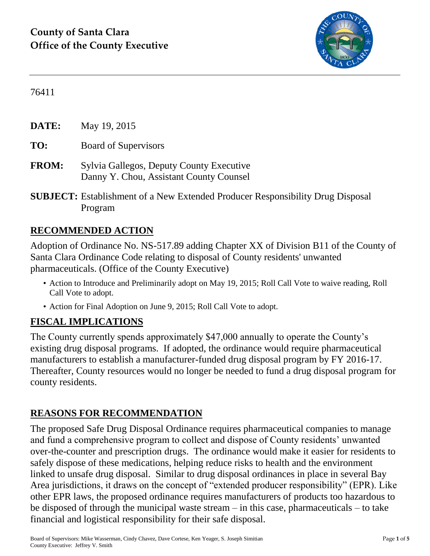

76411

**DATE:** May 19, 2015 **TO:** Board of Supervisors **FROM:** Sylvia Gallegos, Deputy County Executive Danny Y. Chou, Assistant County Counsel

**SUBJECT:** Establishment of a New Extended Producer Responsibility Drug Disposal Program

## **RECOMMENDED ACTION**

Adoption of Ordinance No. NS-517.89 adding Chapter XX of Division B11 of the County of Santa Clara Ordinance Code relating to disposal of County residents' unwanted pharmaceuticals. (Office of the County Executive)

- Action to Introduce and Preliminarily adopt on May 19, 2015; Roll Call Vote to waive reading, Roll Call Vote to adopt.
- Action for Final Adoption on June 9, 2015; Roll Call Vote to adopt.

# **FISCAL IMPLICATIONS**

The County currently spends approximately \$47,000 annually to operate the County's existing drug disposal programs. If adopted, the ordinance would require pharmaceutical manufacturers to establish a manufacturer-funded drug disposal program by FY 2016-17. Thereafter, County resources would no longer be needed to fund a drug disposal program for county residents.

# **REASONS FOR RECOMMENDATION**

The proposed Safe Drug Disposal Ordinance requires pharmaceutical companies to manage and fund a comprehensive program to collect and dispose of County residents' unwanted over-the-counter and prescription drugs. The ordinance would make it easier for residents to safely dispose of these medications, helping reduce risks to health and the environment linked to unsafe drug disposal. Similar to drug disposal ordinances in place in several Bay Area jurisdictions, it draws on the concept of "extended producer responsibility" (EPR). Like other EPR laws, the proposed ordinance requires manufacturers of products too hazardous to be disposed of through the municipal waste stream – in this case, pharmaceuticals – to take financial and logistical responsibility for their safe disposal.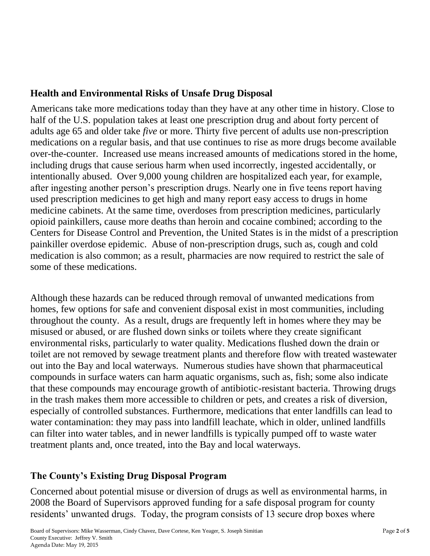### **Health and Environmental Risks of Unsafe Drug Disposal**

Americans take more medications today than they have at any other time in history. Close to half of the U.S. population takes at least one prescription drug and about forty percent of adults age 65 and older take *five* or more. Thirty five percent of adults use non-prescription medications on a regular basis, and that use continues to rise as more drugs become available over-the-counter. Increased use means increased amounts of medications stored in the home, including drugs that cause serious harm when used incorrectly, ingested accidentally, or intentionally abused. Over 9,000 young children are hospitalized each year, for example, after ingesting another person's prescription drugs. Nearly one in five teens report having used prescription medicines to get high and many report easy access to drugs in home medicine cabinets. At the same time, overdoses from prescription medicines, particularly opioid painkillers, cause more deaths than heroin and cocaine combined; according to the Centers for Disease Control and Prevention, the United States is in the midst of a prescription painkiller overdose epidemic. Abuse of non-prescription drugs, such as, cough and cold medication is also common; as a result, pharmacies are now required to restrict the sale of some of these medications.

Although these hazards can be reduced through removal of unwanted medications from homes, few options for safe and convenient disposal exist in most communities, including throughout the county. As a result, drugs are frequently left in homes where they may be misused or abused, or are flushed down sinks or toilets where they create significant environmental risks, particularly to water quality. Medications flushed down the drain or toilet are not removed by sewage treatment plants and therefore flow with treated wastewater out into the Bay and local waterways. Numerous studies have shown that pharmaceutical compounds in surface waters can harm aquatic organisms, such as, fish; some also indicate that these compounds may encourage growth of antibiotic-resistant bacteria. Throwing drugs in the trash makes them more accessible to children or pets, and creates a risk of diversion, especially of controlled substances. Furthermore, medications that enter landfills can lead to water contamination: they may pass into landfill leachate, which in older, unlined landfills can filter into water tables, and in newer landfills is typically pumped off to waste water treatment plants and, once treated, into the Bay and local waterways.

## **The County's Existing Drug Disposal Program**

Concerned about potential misuse or diversion of drugs as well as environmental harms, in 2008 the Board of Supervisors approved funding for a safe disposal program for county residents' unwanted drugs. Today, the program consists of 13 secure drop boxes where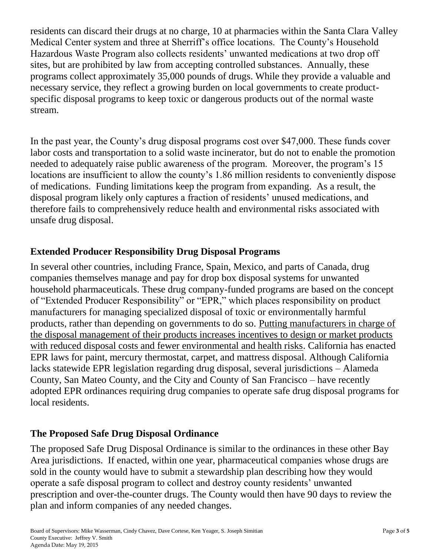residents can discard their drugs at no charge, 10 at pharmacies within the Santa Clara Valley Medical Center system and three at Sherriff's office locations. The County's Household Hazardous Waste Program also collects residents' unwanted medications at two drop off sites, but are prohibited by law from accepting controlled substances. Annually, these programs collect approximately 35,000 pounds of drugs. While they provide a valuable and necessary service, they reflect a growing burden on local governments to create productspecific disposal programs to keep toxic or dangerous products out of the normal waste stream.

In the past year, the County's drug disposal programs cost over \$47,000. These funds cover labor costs and transportation to a solid waste incinerator, but do not to enable the promotion needed to adequately raise public awareness of the program. Moreover, the program's 15 locations are insufficient to allow the county's 1.86 million residents to conveniently dispose of medications. Funding limitations keep the program from expanding. As a result, the disposal program likely only captures a fraction of residents' unused medications, and therefore fails to comprehensively reduce health and environmental risks associated with unsafe drug disposal.

#### **Extended Producer Responsibility Drug Disposal Programs**

In several other countries, including France, Spain, Mexico, and parts of Canada, drug companies themselves manage and pay for drop box disposal systems for unwanted household pharmaceuticals. These drug company-funded programs are based on the concept of "Extended Producer Responsibility" or "EPR," which places responsibility on product manufacturers for managing specialized disposal of toxic or environmentally harmful products, rather than depending on governments to do so. Putting manufacturers in charge of the disposal management of their products increases incentives to design or market products with reduced disposal costs and fewer environmental and health risks. California has enacted EPR laws for paint, mercury thermostat, carpet, and mattress disposal. Although California lacks statewide EPR legislation regarding drug disposal, several jurisdictions – Alameda County, San Mateo County, and the City and County of San Francisco – have recently adopted EPR ordinances requiring drug companies to operate safe drug disposal programs for local residents.

#### **The Proposed Safe Drug Disposal Ordinance**

The proposed Safe Drug Disposal Ordinance is similar to the ordinances in these other Bay Area jurisdictions. If enacted, within one year, pharmaceutical companies whose drugs are sold in the county would have to submit a stewardship plan describing how they would operate a safe disposal program to collect and destroy county residents' unwanted prescription and over-the-counter drugs. The County would then have 90 days to review the plan and inform companies of any needed changes.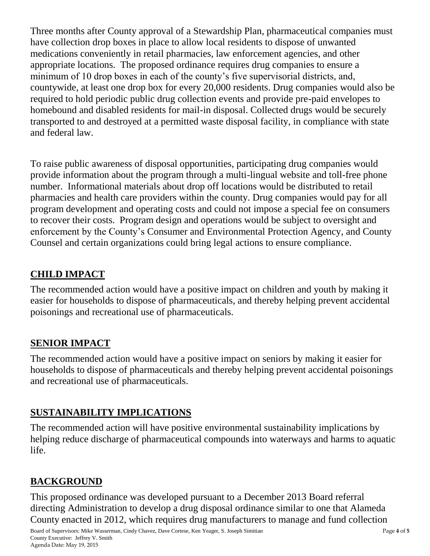Three months after County approval of a Stewardship Plan, pharmaceutical companies must have collection drop boxes in place to allow local residents to dispose of unwanted medications conveniently in retail pharmacies, law enforcement agencies, and other appropriate locations. The proposed ordinance requires drug companies to ensure a minimum of 10 drop boxes in each of the county's five supervisorial districts, and, countywide, at least one drop box for every 20,000 residents. Drug companies would also be required to hold periodic public drug collection events and provide pre-paid envelopes to homebound and disabled residents for mail-in disposal. Collected drugs would be securely transported to and destroyed at a permitted waste disposal facility, in compliance with state and federal law.

To raise public awareness of disposal opportunities, participating drug companies would provide information about the program through a multi-lingual website and toll-free phone number. Informational materials about drop off locations would be distributed to retail pharmacies and health care providers within the county. Drug companies would pay for all program development and operating costs and could not impose a special fee on consumers to recover their costs. Program design and operations would be subject to oversight and enforcement by the County's Consumer and Environmental Protection Agency, and County Counsel and certain organizations could bring legal actions to ensure compliance.

# **CHILD IMPACT**

The recommended action would have a positive impact on children and youth by making it easier for households to dispose of pharmaceuticals, and thereby helping prevent accidental poisonings and recreational use of pharmaceuticals.

# **SENIOR IMPACT**

The recommended action would have a positive impact on seniors by making it easier for households to dispose of pharmaceuticals and thereby helping prevent accidental poisonings and recreational use of pharmaceuticals.

# **SUSTAINABILITY IMPLICATIONS**

The recommended action will have positive environmental sustainability implications by helping reduce discharge of pharmaceutical compounds into waterways and harms to aquatic life.

# **BACKGROUND**

This proposed ordinance was developed pursuant to a December 2013 Board referral directing Administration to develop a drug disposal ordinance similar to one that Alameda County enacted in 2012, which requires drug manufacturers to manage and fund collection